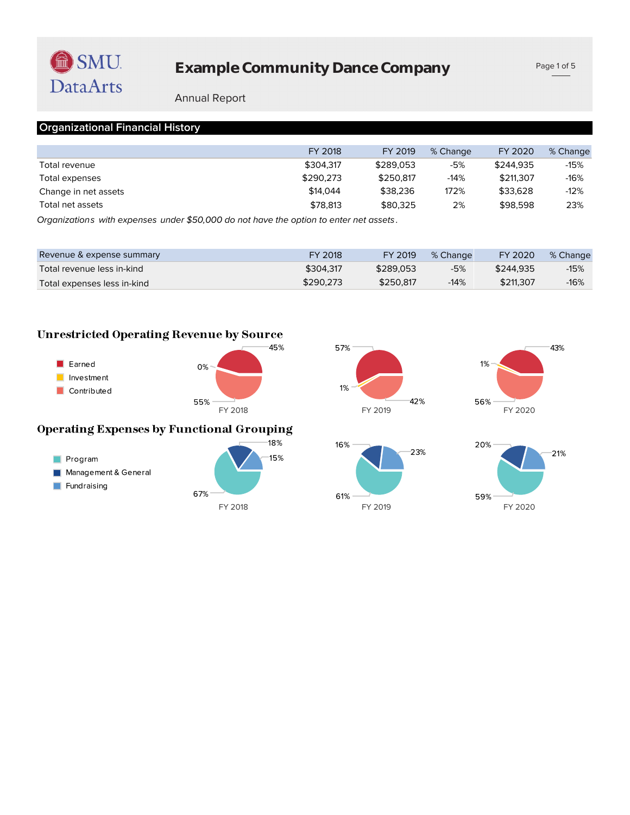

## **Example Community Dance Company**

Page 1 of 5

#### Annual Report

#### **Organizational Financial History**

|                      | FY 2018                                                                                                                                                                                                                                                                                                             | FY 2019   | % Change | FY 2020   | % Change |
|----------------------|---------------------------------------------------------------------------------------------------------------------------------------------------------------------------------------------------------------------------------------------------------------------------------------------------------------------|-----------|----------|-----------|----------|
| Total revenue        | \$304.317                                                                                                                                                                                                                                                                                                           | \$289.053 | -5%      | \$244.935 | $-15%$   |
| Total expenses       | \$290.273                                                                                                                                                                                                                                                                                                           | \$250.817 | $-14%$   | \$211,307 | $-16%$   |
| Change in net assets | \$14,044                                                                                                                                                                                                                                                                                                            | \$38,236  | 172%     | \$33.628  | $-12%$   |
| Total net assets     | \$78.813                                                                                                                                                                                                                                                                                                            | \$80.325  | 2%       | \$98,598  | 23%      |
| $\sim$ $\sim$ $\sim$ | $\frac{1}{2}$ $\frac{1}{2}$ $\frac{1}{2}$ $\frac{1}{2}$ $\frac{1}{2}$ $\frac{1}{2}$ $\frac{1}{2}$ $\frac{1}{2}$ $\frac{1}{2}$ $\frac{1}{2}$ $\frac{1}{2}$ $\frac{1}{2}$ $\frac{1}{2}$ $\frac{1}{2}$ $\frac{1}{2}$ $\frac{1}{2}$ $\frac{1}{2}$ $\frac{1}{2}$ $\frac{1}{2}$ $\frac{1}{2}$ $\frac{1}{2}$ $\frac{1}{2}$ |           |          |           |          |

*Organizations with expenses under \$50,000 do not have the option to enter net assets .*

| Revenue & expense summary   | FY 2018   | FY 2019   | % Change | FY 2020   | % Change |
|-----------------------------|-----------|-----------|----------|-----------|----------|
| Total revenue less in-kind  | \$304.317 | \$289.053 | -5%      | \$244.935 | $-15%$   |
| Total expenses less in-kind | \$290.273 | \$250.817 | $-14%$   | \$211,307 | $-16%$   |

#### **Unrestricted Operating Revenue by Source**







# **Operating Expenses by Functional Grouping**





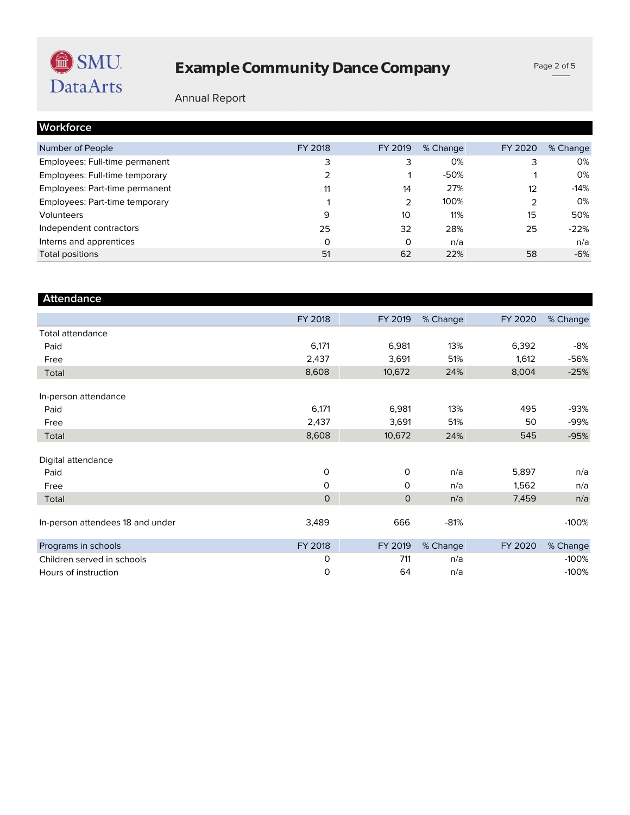# **Example Community Dance Company**

Page 2 of 5

### Annual Report

| Workforce                      |         |         |          |         |          |
|--------------------------------|---------|---------|----------|---------|----------|
| Number of People               | FY 2018 | FY 2019 | % Change | FY 2020 | % Change |
| Employees: Full-time permanent | 3       | 3       | 0%       |         | 0%       |
| Employees: Full-time temporary | 2       |         | $-50%$   |         | 0%       |
| Employees: Part-time permanent | 11      | 14      | 27%      | 12      | $-14%$   |
| Employees: Part-time temporary |         | 2       | 100%     | 2       | 0%       |
| Volunteers                     | 9       | 10      | 11%      | 15      | 50%      |
| Independent contractors        | 25      | 32      | 28%      | 25      | $-22%$   |
| Interns and apprentices        | Ω       | 0       | n/a      |         | n/a      |
| Total positions                | 51      | 62      | 22%      | 58      | $-6%$    |

| <b>Attendance</b>                |              |              |          |         |          |
|----------------------------------|--------------|--------------|----------|---------|----------|
|                                  | FY 2018      | FY 2019      | % Change | FY 2020 | % Change |
| <b>Total attendance</b>          |              |              |          |         |          |
| Paid                             | 6,171        | 6,981        | 13%      | 6,392   | -8%      |
| Free                             | 2,437        | 3,691        | 51%      | 1,612   | -56%     |
| Total                            | 8,608        | 10,672       | 24%      | 8,004   | $-25%$   |
| In-person attendance             |              |              |          |         |          |
| Paid                             | 6,171        | 6,981        | 13%      | 495     | -93%     |
| Free                             | 2,437        | 3,691        | 51%      | 50      | $-99%$   |
| Total                            | 8,608        | 10,672       | 24%      | 545     | $-95%$   |
| Digital attendance               |              |              |          |         |          |
| Paid                             | 0            | 0            | n/a      | 5,897   | n/a      |
| Free                             | $\mathsf{O}$ | $\mathsf{O}$ | n/a      | 1,562   | n/a      |
| Total                            | $\mathbf{O}$ | $\mathbf{O}$ | n/a      | 7,459   | n/a      |
| In-person attendees 18 and under | 3,489        | 666          | $-81%$   |         | $-100%$  |
| Programs in schools              | FY 2018      | FY 2019      | % Change | FY 2020 | % Change |
| Children served in schools       | 0            | 711          | n/a      |         | $-100%$  |
| Hours of instruction             | 0            | 64           | n/a      |         | $-100%$  |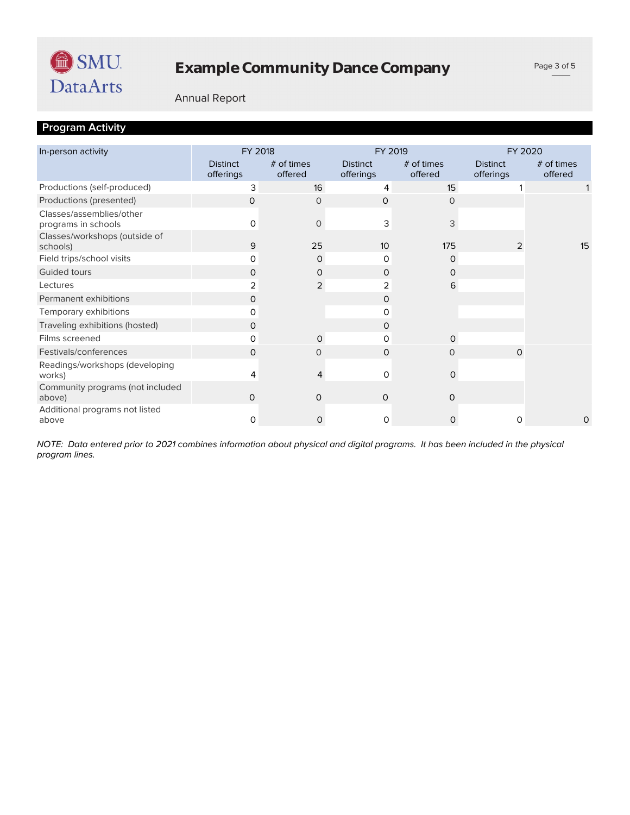

#### Annual Report

## **Program Activity**

| In-person activity                              | FY 2018                      |                         | FY 2019                      |                         | FY 2020                      |                       |  |
|-------------------------------------------------|------------------------------|-------------------------|------------------------------|-------------------------|------------------------------|-----------------------|--|
|                                                 | <b>Distinct</b><br>offerings | $#$ of times<br>offered | <b>Distinct</b><br>offerings | $#$ of times<br>offered | <b>Distinct</b><br>offerings | # of times<br>offered |  |
| Productions (self-produced)                     | 3                            | 16                      | 4                            | 15                      |                              |                       |  |
| Productions (presented)                         | 0                            | 0                       | 0                            | 0                       |                              |                       |  |
| Classes/assemblies/other<br>programs in schools | O                            | $\Omega$                | 3                            | 3                       |                              |                       |  |
| Classes/workshops (outside of<br>schools)       | 9                            | 25                      | 10 <sup>2</sup>              | 175                     | 2                            | 15                    |  |
| Field trips/school visits                       | 0                            | $\mathbf 0$             | 0                            | 0                       |                              |                       |  |
| Guided tours                                    | 0                            | 0                       | 0                            | 0                       |                              |                       |  |
| Lectures                                        | 2                            | $\overline{2}$          | 2                            | 6                       |                              |                       |  |
| Permanent exhibitions                           | 0                            |                         | 0                            |                         |                              |                       |  |
| Temporary exhibitions                           | 0                            |                         | 0                            |                         |                              |                       |  |
| Traveling exhibitions (hosted)                  | 0                            |                         | 0                            |                         |                              |                       |  |
| Films screened                                  | 0                            | $\Omega$                | 0                            | $\Omega$                |                              |                       |  |
| Festivals/conferences                           | $\Omega$                     | $\Omega$                | $\Omega$                     | $\circ$                 | $\Omega$                     |                       |  |
| Readings/workshops (developing<br>works)        | 4                            | 4                       | 0                            | $\mathbf 0$             |                              |                       |  |
| Community programs (not included<br>above)      | 0                            | $\circ$                 | $\Omega$                     | 0                       |                              |                       |  |
| Additional programs not listed<br>above         | 0                            | 0                       | 0                            | $\mathsf{O}$            | 0                            | 0                     |  |

*program lines. NOTE: Data entered prior to 2021 combines information about physical and digital programs. It has been included in the physical*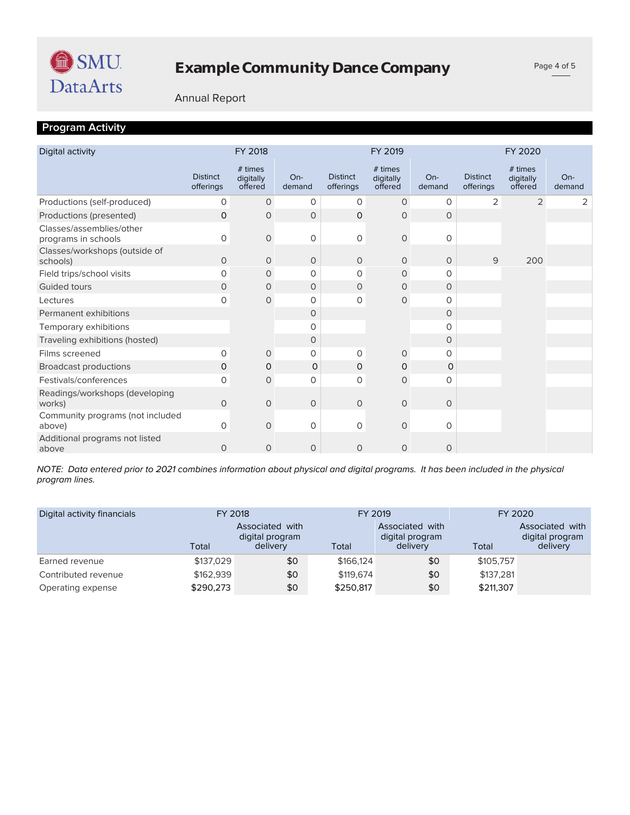

Page 4 of 5

#### Annual Report

## **Program Activity**

| Digital activity                                |                              | FY 2018                         |                 |                              | FY 2019                         |                 |                              | FY 2020                         |                 |
|-------------------------------------------------|------------------------------|---------------------------------|-----------------|------------------------------|---------------------------------|-----------------|------------------------------|---------------------------------|-----------------|
|                                                 | <b>Distinct</b><br>offerings | # times<br>digitally<br>offered | $On-$<br>demand | <b>Distinct</b><br>offerings | # times<br>digitally<br>offered | $On-$<br>demand | <b>Distinct</b><br>offerings | # times<br>digitally<br>offered | $On-$<br>demand |
| Productions (self-produced)                     | 0                            | $\circ$                         | 0               | 0                            | $\circ$                         | $\circ$         | 2                            | $\overline{2}$                  | 2               |
| Productions (presented)                         | 0                            | 0                               | 0               | 0                            | 0                               | $\circ$         |                              |                                 |                 |
| Classes/assemblies/other<br>programs in schools | $\mathbf 0$                  | $\mathbf 0$                     | $\mathbf 0$     | $\mathbf 0$                  | $\mathbf 0$                     | $\circ$         |                              |                                 |                 |
| Classes/workshops (outside of<br>schools)       | 0                            | 0                               | $\circ$         | $\circ$                      | $\circ$                         | $\circ$         | 9                            | 200                             |                 |
| Field trips/school visits                       | 0                            | $\circ$                         | 0               | 0                            | $\circ$                         | $\Omega$        |                              |                                 |                 |
| <b>Guided tours</b>                             | 0                            | 0                               | $\circ$         | 0                            | 0                               | $\Omega$        |                              |                                 |                 |
| Lectures                                        | 0                            | 0                               | $\mathbf 0$     | 0                            | $\circ$                         | $\Omega$        |                              |                                 |                 |
| Permanent exhibitions                           |                              |                                 | $\circ$         |                              |                                 | $\circ$         |                              |                                 |                 |
| Temporary exhibitions                           |                              |                                 | 0               |                              |                                 | 0               |                              |                                 |                 |
| Traveling exhibitions (hosted)                  |                              |                                 | 0               |                              |                                 | $\circ$         |                              |                                 |                 |
| Films screened                                  | 0                            | $\circ$                         | 0               | $\circ$                      | $\circ$                         | $\circ$         |                              |                                 |                 |
| <b>Broadcast productions</b>                    | 0                            | 0                               | $\circ$         | 0                            | 0                               | 0               |                              |                                 |                 |
| Festivals/conferences                           | 0                            | $\circ$                         | $\mathbf 0$     | 0                            | $\circ$                         | 0               |                              |                                 |                 |
| Readings/workshops (developing<br>works)        | 0                            | $\mathbf 0$                     | $\mathbf 0$     | $\mathcal{O}$                | $\mathbf 0$                     | $\circ$         |                              |                                 |                 |
| Community programs (not included<br>above)      | 0                            | 0                               | 0               | 0                            | $\mathbf 0$                     | $\circ$         |                              |                                 |                 |
| Additional programs not listed<br>above         | 0                            | $\circ$                         | 0               | $\circ$                      | $\circ$                         | 0               |                              |                                 |                 |

*program lines. NOTE: Data entered prior to 2021 combines information about physical and digital programs. It has been included in the physical* 

| Digital activity financials |           | FY 2018<br>FY 2019                             |           |                                                | FY 2020   |                                                |  |
|-----------------------------|-----------|------------------------------------------------|-----------|------------------------------------------------|-----------|------------------------------------------------|--|
|                             | Total     | Associated with<br>digital program<br>delivery | Total     | Associated with<br>digital program<br>delivery | Total     | Associated with<br>digital program<br>delivery |  |
| Earned revenue              | \$137.029 | \$0                                            | \$166.124 | \$0                                            | \$105,757 |                                                |  |
| Contributed revenue         | \$162,939 | \$0                                            | \$119,674 | \$0                                            | \$137.281 |                                                |  |
| Operating expense           | \$290,273 | \$0                                            | \$250,817 | \$0                                            | \$211,307 |                                                |  |